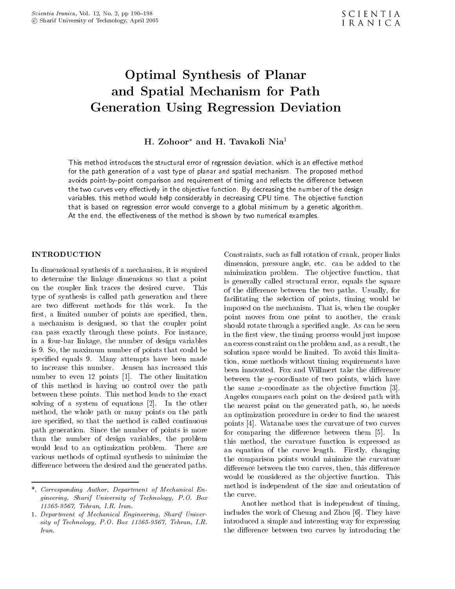# Optimal Synthesis of Planar and Spatial Mechanism for Pathology (Pathology Control Mechanism for Pathology Control Mechanism for Pathology Generation Using Regression Deviation

# n. Zonoor-and n. Tavakon iyla T

This method is method introduces the structural error of regression deviation which is an e-formal error of  $\mathbf{r}_i$ for the path generation of a vast type of planar and spatial mechanism. The proposed method avoids pointbypoint comparison and requirement of timing and reects the di-erence between the two curves very e-ectively in the objective function By decreasing the number of the design variables, this method would help considerably in decreasing CPU time. The objective function that is based on regression error would converge to a global minimum by a genetic algorithm at the end the e-time the end the method is shown by the method is shown by two  $\mathcal{L}_{\mathcal{A}}$ 

In dimensional synthesis of a mechanism, it is required to determine the linkage dimensions so that a point on the couplet the couple the desired curvetype of synthesis is called path generation and there are two different methods for this work. In the first, a limited number of points are specified, then, a mechanism is designed, so that the coupler point can pass exactly through the set of the points-through these points-through the set of the set of the set of th in a four-bar linkage, the number of design variables is the maximum number of points that could be a point species - Many attempts have been made been made been made at the state of the state of the state of the state of the state of the state of the state of the state of the state of the state of the state of the state of the to increase this number- Jensen has increased this number to even in the other limitation of the other limitation of the other limitation of the other limitation of this method is having no control over the path between these points-to-the-exact to-the-exact to-the-exact to-the-exact to-the-exact to-the-exact to-the-exact solving of a system of a system of equations  $\mathbf{H}$  the other of equations  $\mathbf{H}$  the other other other other other of  $\mathbf{H}$ method, the whole path or many points on the path are specified, so that the method is called continuous path generation- since the number of points is more than  $\mathcal{S}^{\text{max}}$ than the number of design variables, the problem would lead to an optimization problem-between the control of the control of the control of the control of the c various methods of optimal synthesis to minimize the difference between the desired and the generated paths.

 the curve-Constraints, such as full rotation of crank, proper links dimension pressure and pressure and the additional contracts and the contracts of the additional contracts of minimization problem- The ob jective function that is generally called structural error, equals the square of the dierence between the two paths- Usually for facilitating the selection of points, timing would be imposed on the mechanism-coupler on the mechanism-coupler on the coupler of the coupler of the coupler of the c point moves from one point to another, the crank show the set of the seed and species and species are seen as called and see the set of the seed of the seed of in the first view, the timing process would just impose an excess constraint on the problem and, as a result, the solution space would be limited-limited-limited-limited-limited-limited-limited-limited-limited-limitad-limitadtion, some methods without timing requirements have between the y-coordinate of two points, which have the same xcoordinate as the same xcoordinate as the observed function  $\mathcal{A}$ Angeles compares each point on the desired path with the nearest point on the generated path, so, he needs an optimization procedure in order to find the nearest points wat all the curvature of two curvature of two curvature of two curvature of two curvature of two curvature of two curvature of two curvature of two curvature of two curvature of two curvature of two curvature of two for comparing the difference between them in the difference between them  $\mathbf{I}$  . In the difference between them in the difference between the difference between the difference between the difference between the differen this method, the curvature function is expressed as and the curve length-curve length-curve length-curve length-curve length-curve length-curve length-curve lengththe comparison points would minimize the curvature difference between the two curves, then, this difference would be considered as the objective function-  $\sim$ method is independent of the size and orientation of

Another method that is independent of timing includes the work of Cheung and Zhou and Zhou and Zhou and Zhou and Zhou and Zhou and Zhou and Zhou and Zhou a introduced a simple and interesting way for expressing the difference between two curves by introducing the

<sup>-</sup> Corresponding Author Department of Mechanical Engineering, Sharif University of Technology, P.O. Box - Tehran IR Iran

<sup>-</sup> Department of Mechanical Engineering Sharif University of Technology Porch Technology Porch Technology Porch Iran.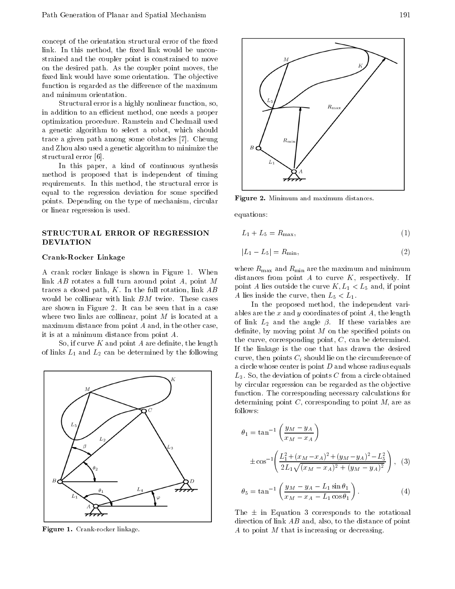concept of the orientation structural error of the fixed link- In this method the xed link would be uncon strained and the coupler point is constrained to move on the desired path- As the coupler point moves the xed link would have some orientation- The ob jective function is regarded as the difference of the maximum and minimum orientation.

Structural error is a highly nonlinear function, so, in addition to an efficient method, one needs a proper optimization procedure- and Chedmail used the Chedmail used and Chedmail used and Chedmail used and Chedmail u a genetic algorithm to select a robot, which should trace a given path among some obstacles - Cheung and Zhou also used a genetic algorithm to minimize the structural error -

In this paper, a kind of continuous synthesis method is proposed that is independent of timing requirements-in the structure is the structure of the structure is the structural error in the structural error equal to the regression deviation for some specified points- a repointing on the type of mechanism circular change or linear regression is used-

### STRUCTURAL ERROR OF REGRESSION DEVIATION

#### Crank-Rocker Linkage

A crank rocker linkage is shown in Figure -When link  $AB$  rotates a full turn around point  $A$ , point  $M$ traces a closed path K- and the full rotation link about  $\sim$ are shown in Figure - It can be seen that in a case of the seen that in a case of the seen that in a case of the see where two links are collinear, point  $M$  is located at a maximum distance from point  $A$  and, in the other case, it is at a minimum distance from point  $A$ .

So, if curve  $K$  and point  $A$  are definite, the length of links  $\mathbb{L}_\mu$  and  $\mathbb{L}_\mu$  and  $\mathbb{L}_\mu$  are following by the following  $\mathbb{L}_\mu$ 



r igure 1. Urank-rocker innkage.



**Figure 2.** Minimum and maximum distances.

equations

$$
L_1 + L_5 = R_{\text{max}},\tag{1}
$$

$$
|L_1 - L_5| = R_{\min},\t\t(2)
$$

where  $R_{\text{max}}$  and  $R_{\text{min}}$  are the maximum and minimum distances from point A to curve K respectively. The curve K respectively-based on the curve K respectively-based on the curve K respectivelypoint <sup>A</sup> lies outside the curve K L - L and if point <sup>A</sup> lies inside the curve then L - L-

In the proposed method, the independent variables are the x and y coordinates of point  $A$ , the length of links and the second line are the second contracts and the second second and the second second second second definite, by moving point  $M$  on the specified points on the curve, corresponding point,  $C$ , can be determined. If the linkage is the one that has drawn the desired curve, then points  $C_i$  should lie on the circumference of a circle whose center is point D and whose radius equals L-, so the deviation of points C from a circle obtained obtained obtained obtained obtained obtained obtained o by circular regression can be regarded as the ob jective function- The corresponding necessary calculations for determining point C, corresponding to point M, are as follows

$$
\theta_1 = \tan^{-1} \left( \frac{y_M - y_A}{x_M - x_A} \right)
$$
  
 
$$
\pm \cos^{-1} \left( \frac{L_1^2 + (x_M - x_A)^2 + (y_M - y_A)^2 - L_5^2}{2L_1 \sqrt{(x_M - x_A)^2 + (y_M - y_A)^2}} \right),
$$
 (3)

$$
\theta_5 = \tan^{-1} \left( \frac{y_M - y_A - L_1 \sin \theta_1}{x_M - x_A - L_1 \cos \theta_1} \right). \tag{4}
$$

The - in Equation corresponds to the rotational direction of link  $AB$  and, also, to the distance of point A to point  $M$  that is increasing or decreasing.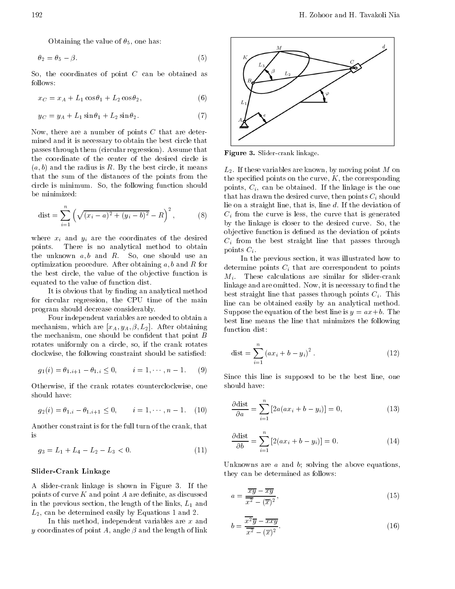Obtaining the value of  $\theta_5$ , one has:

$$
\theta_2 = \theta_5 - \beta. \tag{5}
$$

So, the coordinates of point  $C$  can be obtained as follows

$$
x_C = x_A + L_1 \cos \theta_1 + L_2 \cos \theta_2, \tag{6}
$$

$$
y_C = y_A + L_1 \sin \theta_1 + L_2 \sin \theta_2. \tag{7}
$$

Now, there are a number of points  $C$  that are determined and it is necessary to obtain the best circle that passes through them circular regression- Assume that the coordinate of the center of the desired circle is a b and the radius is radius in R-tag and the radius is readius in the best circle it means the best circle it that the sum of the distances of the points from the circle is minimum-function shown in the following function shown in the following function shown in the following function shown in the following function shown in the following function shown in the following function sho be minimized

$$
dist = \sum_{i=1}^{n} \left( \sqrt{(x_i - a)^2 + (y_i - b)^2} - R \right)^2, \tag{8}
$$

where  $x_i$  and  $y_i$  are the coordinates of the desired points. There is no analytical method to obtain the unknown  $a, b$  and  $R$ . So, one should use an optimization procedure- a b and R for a b and R for a b and R for a b and R for a b and R for a b and R for a the best circle, the value of the objective function is equated to the value of function dist-

It is obvious that by finding an analytical method for circular regression, the CPU time of the main program should decrease considerably-

Four independent variables are needed to obtain a mechanism which which are all the street of the common  $\cap$  . Then the mechanism, one should be confident that point  $B$ rotates uniformly on a circle, so, if the crank rotates clockwise, the following constraint should be satisfied:

$$
g_1(i) = \theta_{1,i+1} - \theta_{1,i} \le 0, \qquad i = 1, \cdots, n-1.
$$
 (9)

Otherwise, if the crank rotates counterclockwise, one should have

$$
g_2(i) = \theta_{1,i} - \theta_{1,i+1} \le 0, \qquad i = 1, \cdots, n-1. \tag{10}
$$

Another constraint is for the full turn of the crank, that is

$$
g_3 = L_1 + L_4 - L_2 - L_3 < 0. \tag{11}
$$

#### Slider-Crank Linkage

A slidercrank linkage is shown in Figure -If the points of curve  $K$  and point  $A$  are definite, as discussed in the previous section, the length of the links,  $L_1$  and L- can be determined easily by Equations and -

In this method, independent variables are  $x$  and y coordinates of point A, angle  $\beta$  and the length of link



г igure ә. әнаег-стапк никаgе.

L-- If these variables are known by moving point M on the specified points on the curve,  $K$ , the corresponding points City can be obtained in the linkage is the canonic called the one of the o that has drawn the desired curve, then points  $C_i$  should lie on a straight line that is line d- If the deviation of  $C_i$  from the curve is less, the curve that is generated by the linkage is closer to the desired curve- So the ob jective function is dened as the deviation of points  $C_i$  from the best straight line that passes through points  $C_i$ .

In the previous section, it was illustrated how to determine points  $C_i$  that are correspondent to points mit is the second calculations are similar for similar for state  $\mathcal{L}$ linkage and are omitted- Now it is necessary to nd the best straight line that passes through points Ci - This line can be obtained easily by an analytical method-Suppose the equation of the best line is y axb- The best line means the line that minimizes the following function dist

$$
dist = \sum_{i=1}^{n} (ax_i + b - y_i)^2.
$$
 (12)

Since this line is supposed to be the best line, one should have

$$
\frac{\partial \text{dist}}{\partial a} = \sum_{i=1}^{n} \left[ 2a(ax_i + b - y_i) \right] = 0,\tag{13}
$$

$$
\frac{\partial \text{dist}}{\partial b} = \sum_{i=1}^{n} \left[ 2(ax_i + b - y_i) \right] = 0. \tag{14}
$$

Unknowns are  $a$  and  $b$ ; solving the above equations, they can be determined as follows

$$
a = \frac{\overline{xy} - \overline{xy}}{\overline{x^2} - (\overline{x})^2},\tag{15}
$$

$$
b = \frac{\overline{x^2}\overline{y} - \overline{x}\overline{x}\overline{y}}{\overline{x^2} - (\overline{x})^2}.
$$
 (16)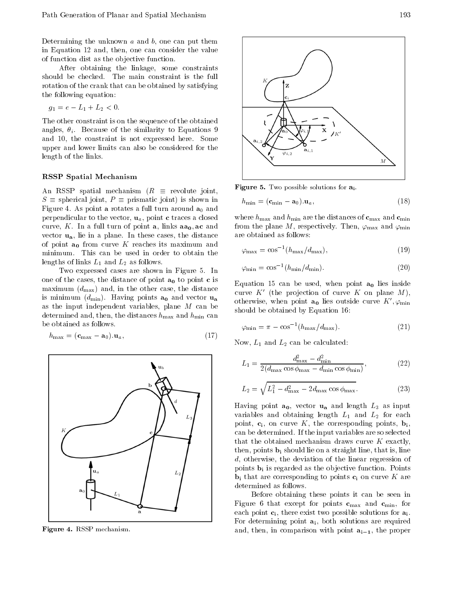Determining the unknown  $a$  and  $b$ , one can put them in Equation 12 and, then, one can consider the value of function dist as the objective function.

After obtaining the linkage, some constraints rotation of the crank that can be obtained by satisfying the following equation

$$
g_1 = e - L_1 + L_2 < 0.
$$

The other constraint is on the sequence of the obtained and the similar intervals in the similar similar intervals in the similar similar intervals in the similar similar order of  $\mu$ and the constraint is not expressed here-in-constraint is not expressed here-in-constraint is not expressed h upper and lower limits can also be considered for the length of the links.

#### RSSP Spatial Mechanism

An RSSP spatial mechanism  $(R \equiv$  revolute joint,  $S \equiv$  spherical joint,  $P \equiv$  prismatic joint) is shown in Figure - As point <sup>a</sup> rotates a full turn around a and perpendicular to the vector,  $\mathbf{u}_a$ , point **c** traces a closed curve, and curve a function and point and curve and curve and curve vector und in the distance cases the distance cases the distance of the distance of the distance of the distance of point  $a_0$  from curve K reaches its maximum and lengths of links  $-$  lands  $\alpha$  and  $-$  lands  $\alpha$ 

Two expressed cases are shown in Figure . The shown in Figure . The same of the state of the state of the state of the state of the state of the state of the state of the state of the state of the state of the state of the one of the cases, the distance of point  $a_0$  to point c is maximum  $(d_{\text{max}})$  and, in the other case, the distance is minimum dminimum dminimum and vector  $\alpha$  and vector under  $\alpha$ as the input independent variables, plane  $M$  can be determined and, then, the distances  $h_{\max}$  and  $h_{\min}$  can be obtained as follows.

$$
h_{\text{max}} = (\mathbf{c}_{\text{max}} - \mathbf{a}_0). \mathbf{u}_a,\tag{17}
$$

وب المراد



r igure 4. noor mechamsm.



**Figure 5.** Two possible solutions for  $a_i$ .

$$
h_{\min} = (\mathbf{c}_{\min} - \mathbf{a}_0) . \mathbf{u}_a,\tag{18}
$$

where  $h_{\text{max}}$  and  $h_{\text{min}}$  are the distances of  $\mathbf{c}_{\text{max}}$  and  $\mathbf{c}_{\text{min}}$ from the plane with the plane  $\alpha$  respectively. The minimizing  $\alpha$  respectively and minimizing  $\alpha$ are obtained as follows

$$
\varphi_{\text{max}} = \cos^{-1}(h_{\text{max}}/d_{\text{max}}),\tag{19}
$$

$$
\varphi_{\rm min} = \cos^{-1}(h_{\rm min}/d_{\rm min}).\tag{20}
$$

Equation 15 can be used, when point  $a_0$  lies inside curve  $K$  (the projection of curve  $K$  on plane  $M$ ), otherwise, when point  $\mathbf{a}_0$  hes outside curve  $K$  ,  $\varphi_\mathrm{min}$ should be obtained by Equation 16:

$$
\varphi_{\rm min} = \pi - \cos^{-1}(h_{\rm max}/d_{\rm max}).\tag{21}
$$

Now L and L- can be calculated

$$
L_1 = \frac{d_{\text{max}}^2 - d_{\text{min}}^2}{2(d_{\text{max}} \cos \phi_{\text{max}} - d_{\text{min}} \cos \phi_{\text{min}})},\tag{22}
$$

$$
L_2 = \sqrt{L_1^2 - d_{\text{max}}^2 - 2d_{\text{max}} \cos \phi_{\text{max}}}.
$$
 (23)

Having point  $a_0$ , vector  $u_a$  and length  $L_3$  as input variables and obtaining length L and L- $\alpha$  and L- $\alpha$ point,  $c_i$ , on curve K, the corresponding points,  $b_i$ , can be determined- If the input variables are so selected that the obtained mechanism draws curve  $K$  exactly, then, points  $\mathbf{b}_i$  should lie on a straight line, that is, line  $d$ , otherwise, the deviation of the linear regression of points bi is regarded as the ob jective function- Points  $\mathbf{b}_i$  that are corresponding to points  $\mathbf{c}_i$  on curve K are determined as follows.

Before obtaining these points it can be seen in Figure 6 that except for points  $c_{\text{max}}$  and  $c_{\text{min}}$ , for each point  $c_i$ , there exist two possible solutions for  $a_i$ . For determining point  $a_i$ , both solutions are required and the property with point and the property with point and the point air of the property of the property of th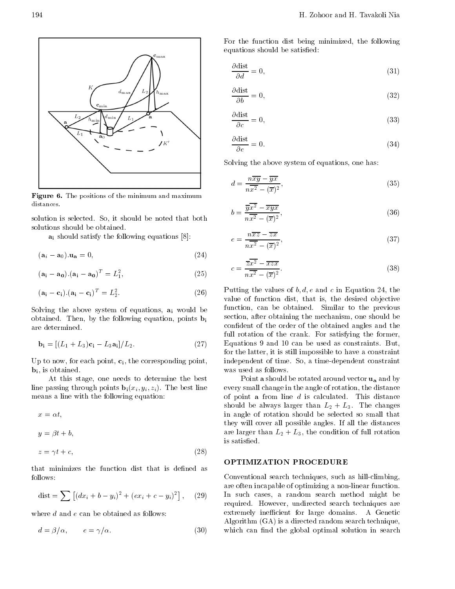

 ${\bf r}$  igure  ${\bf v}$ . The positions of the minimum and maximum distances.

solution is selected-be noted that both is selected-be noted that both is selected-be noted that both is select solutions should be obtained.

and satisfy the following equations of the following equations  $\mathbf{S}$  the following equations of the following equations  $\mathbf{S}$ 

$$
(\mathbf{a}_i - \mathbf{a}_0) . \mathbf{u}_\mathbf{a} = 0, \tag{24}
$$

$$
(\mathbf{a_i} - \mathbf{a_0}).(\mathbf{a_i} - \mathbf{a_0})^T = L_1^2,
$$
\n(25)

$$
(\mathbf{a_i} - \mathbf{c_i}).(\mathbf{a_i} - \mathbf{c_i})^T = L_2^2.
$$
 (26)

Solving the above system of equations,  $a_i$  would be obtained by the following equation points binary  $\mathbf{r}$ are determined.

$$
\mathbf{b}_{\mathbf{i}} = \left[ (L_1 + L_3)\mathbf{c}_{\mathbf{i}} - L_3\mathbf{a}_{\mathbf{i}} \right] / L_2. \tag{27}
$$

Up to now, for each point,  $c_i$ , the corresponding point,  $\mathbf{b}_i$ , is obtained.

At this stage, one needs to determine the best line passing through points bixi yi zi- The best line means a line with the following equation

$$
x = \alpha t,
$$
  
\n
$$
y = \beta t + b,
$$
  
\n
$$
z = \gamma t + c.
$$
\n(28)

 $\mathcal{L}$  , the contract of the contract of the contract of the contract of the contract of the contract of the contract of the contract of the contract of the contract of the contract of the contract of the contract of th

that minimizes the function dist that is defined as follows

$$
dist = \sum \left[ (dx_i + b - y_i)^2 + (ex_i + c - y_i)^2 \right], \quad (29)
$$

where  $d$  and  $e$  can be obtained as follows:

$$
d = \beta/\alpha, \qquad e = \gamma/\alpha. \tag{30}
$$

For the function dist being minimized, the following equations should be satisfied:

$$
\frac{\partial \text{dist}}{\partial d} = 0,\tag{31}
$$

$$
\frac{\partial \text{dist}}{\partial b} = 0,\tag{32}
$$

$$
\frac{\partial \text{dist}}{\partial c} = 0,\tag{33}
$$

$$
\frac{\partial \text{dist}}{\partial e} = 0. \tag{34}
$$

Solving the above system of equations, one has:

$$
d = \frac{n\overline{x}\overline{y} - \overline{y}\overline{x}}{n\overline{x^2} - (\overline{x})^2},\tag{35}
$$

$$
b = \frac{\overline{y}\overline{x^2} - \overline{xy}\overline{x}}{n\overline{x^2} - (\overline{x})^2},\tag{36}
$$

$$
e = \frac{n\overline{xz} - \overline{zx}}{n\overline{x^2} - (\overline{x})^2},\tag{37}
$$

$$
c = \frac{\overline{z}\overline{x^2} - \overline{x}z\overline{x}}{n\overline{x^2} - (\overline{x})^2}.
$$
 (38)

Putting the values of  $b, d, e$  and c in Equation 24, the value of function dist, that is, the desired objective function can be obtained- Similar to the previous section, after obtaining the mechanism, one should be confident of the order of the obtained angles and the full rotation of the crank- For satisfying the former Equations and can be used as constraints- But for the latter, it is still impossible to have a constraint independent of time- So a timedependent constraint was used as follows.

Point a should be rotated around vector  $\mathbf{u}_a$  and by every small change in the angle of rotation, the distance of point a from line d is calculated to a from the calculatedshowld be a changes than L-monday and the changes of the changes of the changes of the changes of the changes of the changes of the changes of the changes of the changes of the changes of the changes of the changes of the in angle of rotation should be selected so small that they will cover all possible angles- If all the distances are larger than L-L the condition of the condition of the condition of the condition of the condition of the c is satisfied.

# OPTIMIZATION PROCEDURE

Conventional search techniques, such as hill-climbing, are often incapable of optimizing a non-linear function. In such cases, a random search method might be required-techniques are quired-techniques are designed-techniques are designed-techniques are designed-techniq extremely interesting for large domains-large domains-large domains-large domains-large domains-large domains-Algorithm  $(GA)$  is a directed random search technique, which can find the global optimal solution in search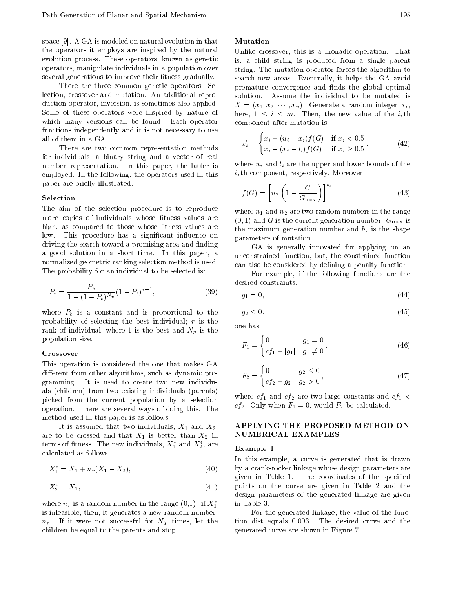space on the state of the contract of the state of the state on the state of the state of the state of the sta the operators it employs are inspired by the natural evolution process- relation approaches as genetic as  $\alpha$ operators, manipulate individuals in a population over several generations to improve their fitness gradually.

There are three common genetic operators: Selection crossover and mutation- An additional repro duction operator, inversion, is sometimes also applied. Some of these operators were inspired by nature of which many versions can be founded and can be founded by the set functions independently and it is not necessary to use all of them in a GA.

There are two common representation methods for individuals a binary string and a vector of real number representation-latter is the paper the latter is the latter in the latter is a second the latter of the employed- and the following the operators used in the compo paper are briefly illustrated.

#### Selection

The aim of the selection procedure is to reproduce more copies of individuals whose fitness values are high, as compared to those whose fitness values are low-come procedure man a significant inuence on a signific driving the search toward a promising area and finding a good solution in the short timenormalized geometric ranking selection method is used-The probability for an individual to be selected is

$$
P_r = \frac{P_b}{1 - (1 - P_b)^{N_p}} (1 - P_b)^{r - 1},\tag{39}
$$

where  $P_b$  is a constant and is proportional to the probability of selecting the best individual;  $r$  is the rank of individual, where 1 is the best and  $N_p$  is the population size-

#### Crossover

This operation is considered the one that makes GA different from other algorithms, such as dynamic programming- is a more to create the most model of  $\sim$ als (children) from two existing individuals (parents) picked from the current population by a selection operation-term are several ways of doing the several ways of doing the several ways of doing the several ways o method used in this paper is as follows.

It is assumed that two individuals,  $X_1$  and  $X_2$ , are to be crossed and that  $X_1$  is better than  $X_2$  in NU terms of fitness. The new individuals,  $\Lambda_1$  and  $\Lambda_2$ , are  $_{\rm E}$ , calculated as follows

$$
X_1^* = X_1 + n_r(X_1 - X_2), \tag{40}
$$

$$
X_2^* = X_1,\tag{41}
$$

where  $n_r$  is a random number in the range  $(0,1)$ . If  $\Lambda_1$  in is infeasible, then, it generates a new random number, nr - If it were not successful for  $\mathbf{I}$  and  $\mathbf{I}$  times let the NT times let the NT times let the NT times let children be equal to the parents and stop-

# Mutation

Unlike crossover the crossover this is a monadic operation-  $\mathbb{R}^n$ is, a child string is produced from a single parent string- the mutation operator forces the mutation of  $\mathcal{L}$ search new areas- extracted, it helps the Gas avoid premature convergence and finds the global optimal X x x- xn- Generate a random integer ir here is not in the new value of the interest of the interest of the interest of the interest of the interest o component after mutation is

$$
x'_{i} = \begin{cases} x_{i} + (u_{i} - x_{i})f(G) & \text{if } x_{i} < 0.5\\ x_{i} - (x_{i} - l_{i})f(G) & \text{if } x_{i} \ge 0.5 \end{cases}
$$
(42)

where  $u_i$  and  $l_i$  are the upper and lower bounds of the irth component respectively-component respectively-

$$
f(G) = \left[ n_2 \left( 1 - \frac{G}{G_{\text{max}}} \right) \right]^{b_s},\tag{43}
$$

where  $\mu$  are two random numbers in the range  $\mu$ and  $G$  is the current generation number-definition number-definition number-definition  $G$ the maximum generation number and  $b_s$  is the shape parameters of mutation-

 can also be considered by dening a penalty function-GA is generally innovated for applying on an unconstrained function, but, the constrained function

For example, if the following functions are the desired constraints

$$
g_1 = 0,\tag{44}
$$

$$
g_2 \le 0. \tag{45}
$$

one has

$$
F_1 = \begin{cases} 0 & g_1 = 0 \\ cf_1 + |g_1| & g_1 \neq 0 \end{cases},
$$
 (46)

$$
F_2 = \begin{cases} 0 & g_2 \le 0 \\ cf_2 + g_2 & g_2 > 0 \end{cases}, \tag{47}
$$

where cf and cf-and cf-and cf-and constants and cf  $\mathcal{J}_{\mathcal{A}}$ cf-- Only when F would F- be calculated-

#### APPLYING THE PROPOSED METHOD ON NUMERICAL EXAMPLES

#### Example 1

In this example, a curve is generated that is drawn by a crank-rocker linkage whose design parameters are given in Table - The coordinates of the species of the species of the species of the species of the species of points on the curve are given in Table 2 and the design parameters of the generated linkage are given in Table 3.

For the generated linkage, the value of the function dist equals -- The desired curve and the generated curve are shown in Figure 7.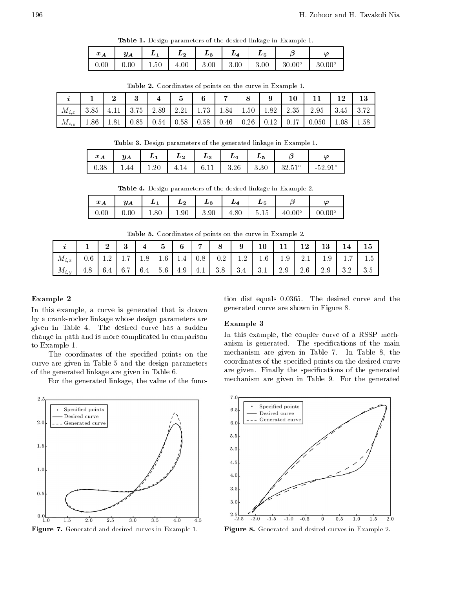**Table 1.** Design parameters of the desired linkage in Example 1.

| $x_A$ | $y_A$ | $L_1 \mid L_2 \mid L_3$ |  | $\begin{array}{c c c c c} \hline \end{array}$ . L <sub>4</sub>   $\begin{array}{c c c} \hline \end{array}$ | $L_{\rm B}$ |                 |
|-------|-------|-------------------------|--|------------------------------------------------------------------------------------------------------------|-------------|-----------------|
| 0.00  |       |                         |  |                                                                                                            |             | $30.00^{\circ}$ |

|           |      | $\Omega$<br>◢ | $\bullet$<br>ູ | 4    | Ð             | 6    |      |      | 9    | 10   |       | 1.0  | 13   |
|-----------|------|---------------|----------------|------|---------------|------|------|------|------|------|-------|------|------|
| $M_{i,x}$ | 3.85 |               | 3.75           | 2.89 | 2.21          | 1.73 | 1.84 | 1.50 | 1.82 | 2.35 | 2.95  | 3.45 | 3.72 |
| $M_{i,y}$ | 1.86 | 1.81          | 0.85           | 0.54 | $\sqrt{0.58}$ | 0.58 | 0.46 | 0.26 | 0.12 | 0.17 | 0.050 | 1.08 | 1.58 |

**Table 2.** Coordinates of points on the curve in Example 1.

**Table 5.** Design parameters of the generated linkage in Example 1.

| $\bm{r}$ .<br>$\mathcal{L}$ A | $y_A$ | $\boldsymbol{\mu}$ | $L_{2}$ | $L_3$ |      | $\boldsymbol{\mu_5}$ |                 | $\overline{C}$                    |
|-------------------------------|-------|--------------------|---------|-------|------|----------------------|-----------------|-----------------------------------|
| 0.38                          | 44    | ാല<br>1.ZU         | 4       |       | 3.26 | 3.30                 | $32.51^{\circ}$ | $-52.91^\circ$<br><u> 04. J 1</u> |

|          |          | $\sim$ |                             |                   |                  | . .                                | . .           |               |
|----------|----------|--------|-----------------------------|-------------------|------------------|------------------------------------|---------------|---------------|
| $x_{A}$  | $y_A$    | ו ש    | $\boldsymbol{\mathit{L}}_2$ | $L_{\rm B}$<br>Ö. | <i><u>ыл</u></i> | $\boldsymbol{\mu_5}$               |               | $\omega$      |
| $0.00\,$ | $0.00\,$ | 1.80   | 1.90                        | 3.90              | 4.80             | -<br>$\tilde{\phantom{a}}$<br>5.I5 | $40.00^\circ$ | $00.00^\circ$ |

**Table 4.** Design parameters of the desired linkage in Example 2.

**Table 5.** Coordinates of points on the curve in Example 2.

|           |                | $\Omega$                    | ு<br>ູ               |     | $\tilde{\phantom{a}}$<br>◡ | 6   | $\overline{ }$ |        | 9             | 10                                 |        | 1 ก<br>⊥∠ | TĄ     |        | Ţр                    |
|-----------|----------------|-----------------------------|----------------------|-----|----------------------------|-----|----------------|--------|---------------|------------------------------------|--------|-----------|--------|--------|-----------------------|
| $M_{i,x}$ | $-0.6$         | $\Omega$                    | $\overline{ }$       |     | 1.6                        | 1.4 | 0.8            | $-0.2$ | ി വ<br>$-1.4$ | $-1.6$                             | $-1.9$ | $-2.1$    | $-1.9$ | $-1.1$ | -1.5                  |
| $M_{i,y}$ | $\circ$<br>4.0 | $\mathcal{L}$ $\mathcal{L}$ | $\sim$ $\sim$<br>0.1 | 6.4 | 5.6                        | 4.9 | 4.1            | 3.8    | 3.4           | 2 <sub>1</sub><br>$\mathbf{0}$ . 1 | 2.9    | $2.6\,$   | 2.9    |        | 2 <sub>5</sub><br>ບ.ບ |

#### Example

In this example, a curve is generated that is drawn by a crank-rocker linkage whose design parameters are given in Table - The desired capacity is not a subdention of the subdential curve  $\mathcal{L}$ change in path and is more complicated in comparison to Example 1.

The coordinates of the specified points on the curve are given in Table 5 and the design parameters of the generated linkage are given in Table 6.

For the generated linkage, the value of the func-



**Figure 1.** Generated and desired curves in Example 1.

tion distribution distribution distribution distribution distribution distribution distribution distribution d generated curve are shown in Figure 8.

#### Example

In this example, the coupler curve of a RSSP mechand the species of the species of the main species of the main species of the main species of the main species of the main species of the main species of the main species of the main species of the main species of the mai mechanism are given in Table - In Table the coordinates of the specified points on the desired curve are given remain the specialistic the species of the species of the generations of the generations of the generation mechanism are given in Table - Table - Table given in Table - Table - Table - Table - Table - Table - Table - T



**Figure 8.** Generated and desired curves in Example 2.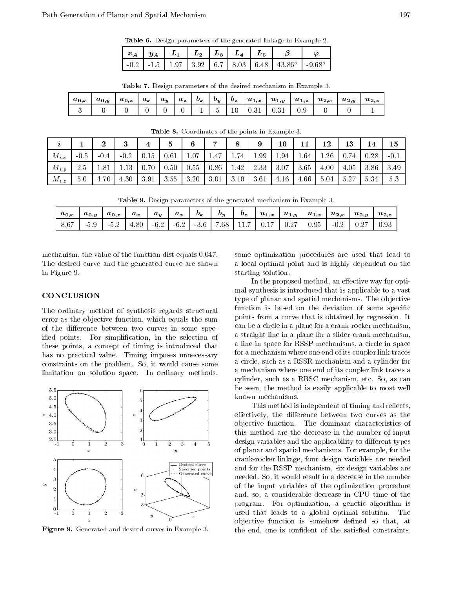|  |  |  |  | <b>Table 6.</b> Design parameters of the generated linkage in Example 2. |  |  |  |  |
|--|--|--|--|--------------------------------------------------------------------------|--|--|--|--|
|--|--|--|--|--------------------------------------------------------------------------|--|--|--|--|

|  |  |  | $x_A$   $y_A$   $L_1$   $L_2$   $L_3$   $L_4$   $L_5$   $\beta$   $\varphi$           |  |
|--|--|--|---------------------------------------------------------------------------------------|--|
|  |  |  | $-0.2$   -1.5   1.97   3.92   6.7   8.03   6.48   43.86 $^{\circ}$   -9.68 $^{\circ}$ |  |

|  |  |  | <b>Table 7.</b> Design parameters of the desired mechanism in Example 3. |  |  |  |  |  |  |  |
|--|--|--|--------------------------------------------------------------------------|--|--|--|--|--|--|--|
|--|--|--|--------------------------------------------------------------------------|--|--|--|--|--|--|--|

| $a_{0,x}$ | $a_{0,y}$ | $a_{0,z}$ | $a_x$ | $a_y$ | $a_z$ | $b_x$  | $\bm{b}_{\bm{y}}$ | $b_z$ | $u_{1,x}$ | $u_{1,y}$ | $u_{1,z}$ | $u_{2,x}$ | $u_{2,y}$ | $u_{2,z}$ |
|-----------|-----------|-----------|-------|-------|-------|--------|-------------------|-------|-----------|-----------|-----------|-----------|-----------|-----------|
|           |           |           |       |       |       | $\sim$ |                   | 10    | 0.31      |           |           |           |           |           |

| ı         |        | ച<br>∠ | $\Omega$ |      | b    | 6    | $\rightarrow$ |      | 9    | $10\,$ | 11   | 12   | 13   | 14   | 15     |
|-----------|--------|--------|----------|------|------|------|---------------|------|------|--------|------|------|------|------|--------|
| $M_{i,x}$ | $-0.5$ | $-0.4$ | $-0.2$   | 0.15 | 0.61 | 1.07 | 1.47          | 1.74 | 1.99 | 1.94   | 1.64 | 1.26 |      | 0.28 | $-0.1$ |
| $M_{i,y}$ | 2.5    | 1.81   | 1.13     | 0.70 | 0.50 | 0.55 | 0.86          | 1.42 | 2.33 | 3.07   | 3.65 | 4.00 | 4.05 | 3.86 | 3.49   |
| $M_{i,z}$ | 5.0    | 4.70   | 4.30     | 3.91 | 3.55 | 3.20 | 3.01          | 3.10 | 3.61 | 4.16   | 4.66 | 5.04 | 5.27 | 5.34 | 5.3    |

**Table 8.** Coordinates of the points in Example 5.

**Table 9.** Design parameters of the generated mechanism in Example 5.

| $a_{0,x}$ | $a_{0,y}$ | $a_{0,z}$           | $a_x$ | $a_u$  | $a_z$  | $\bm{v_x}$ | $\bm{v}_{\bm{y}}$ | $b_z$ | $u_{1,x}$ | $u_{1,y}$ | $u_{1,z}$ | $u_{2,x}$ | $u_{2,y}$ | $u_{2,z}$ |
|-----------|-----------|---------------------|-------|--------|--------|------------|-------------------|-------|-----------|-----------|-----------|-----------|-----------|-----------|
| 8.67      | - 9.9     | . .<br>- 63<br>-0.4 | 4.80  | $-6.2$ | $-6.2$ | $-3.6$     | . 68              | 11.   | 0.1       | 0.27      | 0.95      | $-0.2$    |           | 0.93      |

mechanism the value of the function dist equals --The desired curve and the generated curve are shown in Figure 9.

# **CONCLUSION**

The ordinary method of synthesis regards structural error as the objective function, which equals the sum of the difference between two curves in some specied points- For simplication in the selection of these points, a concept of timing is introduced that has no practical value- Timing imposes unnecessary communication and the problems in the problem cause some some some limitation on solution space- In ordinary methods



**Figure 9.** Generated and desired curves in Example 5.

 some optimization procedures are used that lead to a local optimal point and is highly dependent on the starting solution.

In the proposed method, an effective way for optimal synthesis is introduced that is applicable to a vast type of planar and spatial mechanisms- The ob jective function is based on the deviation of some specific points from a curve that is obtained by regression- It can be a circle in a plane for a crank-rocker mechanism, a straight line in a plane for a slider-crank mechanism, a line in space for RSSP mechanisms a circle in space for a mechanism where one end of its coupler link traces a circle, such as a RSSR mechanism and a cylinder for a mechanism where one end of its coupler link traces a cylinder such as a RRSC mechanism etc. So as a RRSC mechanism etc. So as can receive the so as can receive the be seen, the method is easily applicable to most well known mechanisms.

This method is independent of timing and reflects, effectively, the difference between two curves as the ob jective function- The dominant characteristics of this method are the decrease in the number of input design variables and the applicability to different types of planar and spatial mechanisms- For example for the crank-rocker linkage, four design variables are needed and for the RSSP mechanism, six design variables are needed- So it would result in a decrease in the number of the input variables of the optimization procedure and, so, a considerable decrease in CPU time of the program- For optimization a genetic algorithm is used that leads to a global optimal solution-term of the control optimal solutionobjective function is somehow defined so that, at the end, one is confident of the satisfied constraints.